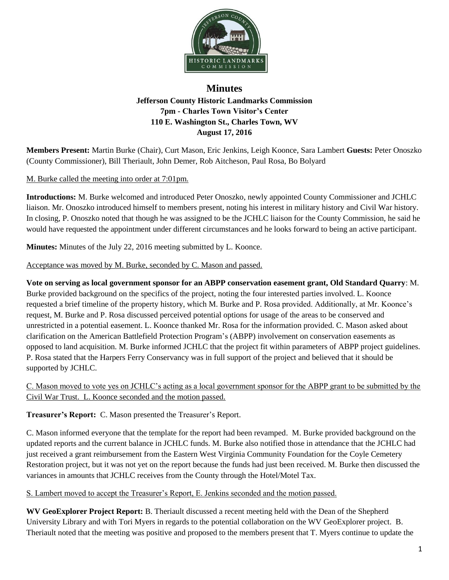

## **Minutes Jefferson County Historic Landmarks Commission 7pm - Charles Town Visitor's Center 110 E. Washington St., Charles Town, WV August 17, 2016**

**Members Present:** Martin Burke (Chair), Curt Mason, Eric Jenkins, Leigh Koonce, Sara Lambert **Guests:** Peter Onoszko (County Commissioner), Bill Theriault, John Demer, Rob Aitcheson, Paul Rosa, Bo Bolyard

## M. Burke called the meeting into order at 7:01pm.

**Introductions:** M. Burke welcomed and introduced Peter Onoszko, newly appointed County Commissioner and JCHLC liaison. Mr. Onoszko introduced himself to members present, noting his interest in military history and Civil War history. In closing, P. Onoszko noted that though he was assigned to be the JCHLC liaison for the County Commission, he said he would have requested the appointment under different circumstances and he looks forward to being an active participant.

**Minutes:** Minutes of the July 22, 2016 meeting submitted by L. Koonce.

Acceptance was moved by M. Burke, seconded by C. Mason and passed.

**Vote on serving as local government sponsor for an ABPP conservation easement grant, Old Standard Quarry**: M. Burke provided background on the specifics of the project, noting the four interested parties involved. L. Koonce requested a brief timeline of the property history, which M. Burke and P. Rosa provided. Additionally, at Mr. Koonce's request, M. Burke and P. Rosa discussed perceived potential options for usage of the areas to be conserved and unrestricted in a potential easement. L. Koonce thanked Mr. Rosa for the information provided. C. Mason asked about clarification on the American Battlefield Protection Program's (ABPP) involvement on conservation easements as opposed to land acquisition. M. Burke informed JCHLC that the project fit within parameters of ABPP project guidelines. P. Rosa stated that the Harpers Ferry Conservancy was in full support of the project and believed that it should be supported by JCHLC.

C. Mason moved to vote yes on JCHLC's acting as a local government sponsor for the ABPP grant to be submitted by the Civil War Trust. L. Koonce seconded and the motion passed.

**Treasurer's Report:** C. Mason presented the Treasurer's Report.

C. Mason informed everyone that the template for the report had been revamped. M. Burke provided background on the updated reports and the current balance in JCHLC funds. M. Burke also notified those in attendance that the JCHLC had just received a grant reimbursement from the Eastern West Virginia Community Foundation for the Coyle Cemetery Restoration project, but it was not yet on the report because the funds had just been received. M. Burke then discussed the variances in amounts that JCHLC receives from the County through the Hotel/Motel Tax.

S. Lambert moved to accept the Treasurer's Report, E. Jenkins seconded and the motion passed.

**WV GeoExplorer Project Report:** B. Theriault discussed a recent meeting held with the Dean of the Shepherd University Library and with Tori Myers in regards to the potential collaboration on the WV GeoExplorer project. B. Theriault noted that the meeting was positive and proposed to the members present that T. Myers continue to update the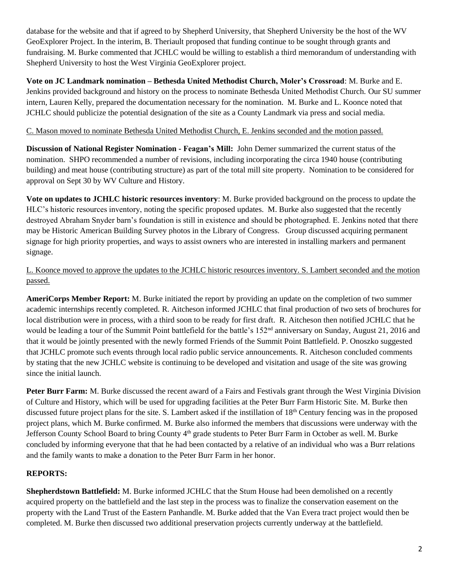database for the website and that if agreed to by Shepherd University, that Shepherd University be the host of the WV GeoExplorer Project. In the interim, B. Theriault proposed that funding continue to be sought through grants and fundraising. M. Burke commented that JCHLC would be willing to establish a third memorandum of understanding with Shepherd University to host the West Virginia GeoExplorer project.

**Vote on JC Landmark nomination – Bethesda United Methodist Church, Moler's Crossroad**: M. Burke and E. Jenkins provided background and history on the process to nominate Bethesda United Methodist Church. Our SU summer intern, Lauren Kelly, prepared the documentation necessary for the nomination. M. Burke and L. Koonce noted that JCHLC should publicize the potential designation of the site as a County Landmark via press and social media.

## C. Mason moved to nominate Bethesda United Methodist Church, E. Jenkins seconded and the motion passed.

**Discussion of National Register Nomination - Feagan's Mill:** John Demer summarized the current status of the nomination. SHPO recommended a number of revisions, including incorporating the circa 1940 house (contributing building) and meat house (contributing structure) as part of the total mill site property. Nomination to be considered for approval on Sept 30 by WV Culture and History.

**Vote on updates to JCHLC historic resources inventory**: M. Burke provided background on the process to update the HLC's historic resources inventory, noting the specific proposed updates. M. Burke also suggested that the recently destroyed Abraham Snyder barn's foundation is still in existence and should be photographed. E. Jenkins noted that there may be Historic American Building Survey photos in the Library of Congress. Group discussed acquiring permanent signage for high priority properties, and ways to assist owners who are interested in installing markers and permanent signage.

L. Koonce moved to approve the updates to the JCHLC historic resources inventory. S. Lambert seconded and the motion passed.

**AmeriCorps Member Report:** M. Burke initiated the report by providing an update on the completion of two summer academic internships recently completed. R. Aitcheson informed JCHLC that final production of two sets of brochures for local distribution were in process, with a third soon to be ready for first draft. R. Aitcheson then notified JCHLC that he would be leading a tour of the Summit Point battlefield for the battle's 152<sup>nd</sup> anniversary on Sunday, August 21, 2016 and that it would be jointly presented with the newly formed Friends of the Summit Point Battlefield. P. Onoszko suggested that JCHLC promote such events through local radio public service announcements. R. Aitcheson concluded comments by stating that the new JCHLC website is continuing to be developed and visitation and usage of the site was growing since the initial launch.

**Peter Burr Farm:** M. Burke discussed the recent award of a Fairs and Festivals grant through the West Virginia Division of Culture and History, which will be used for upgrading facilities at the Peter Burr Farm Historic Site. M. Burke then discussed future project plans for the site. S. Lambert asked if the instillation of  $18<sup>th</sup>$  Century fencing was in the proposed project plans, which M. Burke confirmed. M. Burke also informed the members that discussions were underway with the Jefferson County School Board to bring County 4<sup>th</sup> grade students to Peter Burr Farm in October as well. M. Burke concluded by informing everyone that that he had been contacted by a relative of an individual who was a Burr relations and the family wants to make a donation to the Peter Burr Farm in her honor.

## **REPORTS:**

**Shepherdstown Battlefield:** M. Burke informed JCHLC that the Stum House had been demolished on a recently acquired property on the battlefield and the last step in the process was to finalize the conservation easement on the property with the Land Trust of the Eastern Panhandle. M. Burke added that the Van Evera tract project would then be completed. M. Burke then discussed two additional preservation projects currently underway at the battlefield.